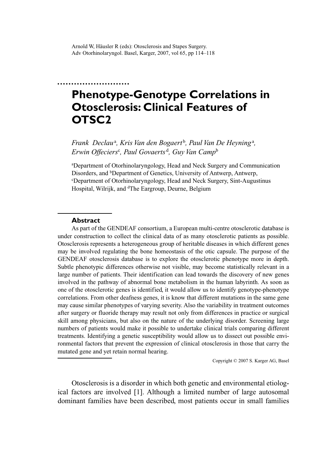# **Phenotype-Genotype Correlations in Otosclerosis: Clinical Features of OTSC2**

Frank Declau<sup>a</sup>, Kris Van den Bogaert<sup>b</sup>, Paul Van De Heyning<sup>a</sup>, *Erwin Offeciers*<sup>c</sup> *, Paul Govaerts* <sup>d</sup> *, Guy Van Camp*<sup>b</sup>

a Department of Otorhinolaryngology, Head and Neck Surgery and Communication Disorders, and <sup>b</sup>Department of Genetics, University of Antwerp, Antwerp, c Department of Otorhinolaryngology, Head and Neck Surgery, Sint-Augustinus Hospital, Wilrijk, and <sup>d</sup>The Eargroup, Deurne, Belgium

#### **Abstract**

As part of the GENDEAF consortium, a European multi-centre otosclerotic database is under construction to collect the clinical data of as many otosclerotic patients as possible. Otosclerosis represents a heterogeneous group of heritable diseases in which different genes may be involved regulating the bone homeostasis of the otic capsule. The purpose of the GENDEAF otosclerosis database is to explore the otosclerotic phenotype more in depth. Subtle phenotypic differences otherwise not visible, may become statistically relevant in a large number of patients. Their identification can lead towards the discovery of new genes involved in the pathway of abnormal bone metabolism in the human labyrinth. As soon as one of the otosclerotic genes is identified, it would allow us to identify genotype-phenotype correlations. From other deafness genes, it is know that different mutations in the same gene may cause similar phenotypes of varying severity. Also the variability in treatment outcomes after surgery or fluoride therapy may result not only from differences in practice or surgical skill among physicians, but also on the nature of the underlying disorder. Screening large numbers of patients would make it possible to undertake clinical trials comparing different treatments. Identifying a genetic susceptibility would allow us to dissect out possible environmental factors that prevent the expression of clinical otosclerosis in those that carry the mutated gene and yet retain normal hearing.

Copyright © 2007 S. Karger AG, Basel

Otosclerosis is a disorder in which both genetic and environmental etiological factors are involved [1]. Although a limited number of large autosomal dominant families have been described, most patients occur in small families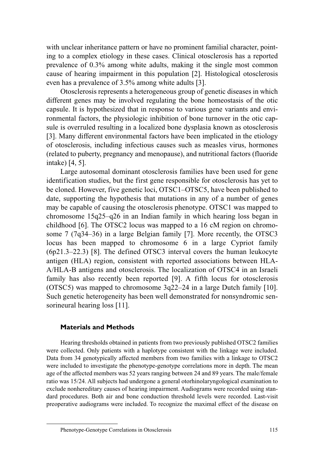with unclear inheritance pattern or have no prominent familial character, pointing to a complex etiology in these cases. Clinical otosclerosis has a reported prevalence of 0.3% among white adults, making it the single most common cause of hearing impairment in this population [2]. Histological otosclerosis even has a prevalence of 3.5% among white adults [3].

Otosclerosis represents a heterogeneous group of genetic diseases in which different genes may be involved regulating the bone homeostasis of the otic capsule. It is hypothesized that in response to various gene variants and environmental factors, the physiologic inhibition of bone turnover in the otic capsule is overruled resulting in a localized bone dysplasia known as otosclerosis [3]. Many different environmental factors have been implicated in the etiology of otosclerosis, including infectious causes such as measles virus, hormones (related to puberty, pregnancy and menopause), and nutritional factors (fluoride intake) [4, 5].

Large autosomal dominant otosclerosis families have been used for gene identification studies, but the first gene responsible for otosclerosis has yet to be cloned. However, five genetic loci, OTSC1–OTSC5, have been published to date, supporting the hypothesis that mutations in any of a number of genes may be capable of causing the otosclerosis phenotype. OTSC1 was mapped to chromosome 15q25–q26 in an Indian family in which hearing loss began in childhood [6]. The OTSC2 locus was mapped to a 16 cM region on chromosome 7 (7q34–36) in a large Belgian family [7]. More recently, the OTSC3 locus has been mapped to chromosome 6 in a large Cypriot family (6p21.3–22.3) [8]. The defined OTSC3 interval covers the human leukocyte antigen (HLA) region, consistent with reported associations between HLA-A/HLA-B antigens and otosclerosis. The localization of OTSC4 in an Israeli family has also recently been reported [9]. A fifth locus for otosclerosis (OTSC5) was mapped to chromosome 3q22–24 in a large Dutch family [10]. Such genetic heterogeneity has been well demonstrated for nonsyndromic sensorineural hearing loss [11].

#### **Materials and Methods**

Hearing thresholds obtained in patients from two previously published OTSC2 families were collected. Only patients with a haplotype consistent with the linkage were included. Data from 34 genotypically affected members from two families with a linkage to OTSC2 were included to investigate the phenotype-genotype correlations more in depth. The mean age of the affected members was 52 years ranging between 24 and 89 years. The male/female ratio was 15/24. All subjects had undergone a general otorhinolaryngological examination to exclude nonhereditary causes of hearing impairment. Audiograms were recorded using standard procedures. Both air and bone conduction threshold levels were recorded. Last-visit preoperative audiograms were included. To recognize the maximal effect of the disease on

Phenotype-Genotype Correlations in Otosclerosis 115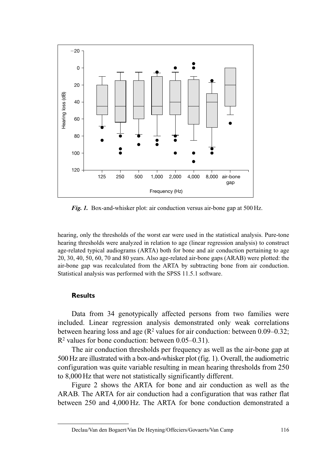

*Fig. 1.* Box-and-whisker plot: air conduction versus air-bone gap at 500 Hz.

hearing, only the thresholds of the worst ear were used in the statistical analysis. Pure-tone hearing thresholds were analyzed in relation to age (linear regression analysis) to construct age-related typical audiograms (ARTA) both for bone and air conduction pertaining to age 20, 30, 40, 50, 60, 70 and 80 years. Also age-related air-bone gaps (ARAB) were plotted: the air-bone gap was recalculated from the ARTA by subtracting bone from air conduction. Statistical analysis was performed with the SPSS 11.5.1 software.

#### **Results**

Data from 34 genotypically affected persons from two families were included. Linear regression analysis demonstrated only weak correlations between hearing loss and age ( $\mathbb{R}^2$  values for air conduction: between 0.09–0.32;  $R<sup>2</sup>$  values for bone conduction: between 0.05–0.31).

The air conduction thresholds per frequency as well as the air-bone gap at 500 Hz are illustrated with a box-and-whisker plot (fig. 1). Overall, the audiometric configuration was quite variable resulting in mean hearing thresholds from 250 to 8,000 Hz that were not statistically significantly different.

Figure 2 shows the ARTA for bone and air conduction as well as the ARAB. The ARTA for air conduction had a configuration that was rather flat between 250 and 4,000 Hz. The ARTA for bone conduction demonstrated a

Declau/Van den Bogaert/Van De Heyning/Offeciers/Govaerts/Van Camp 116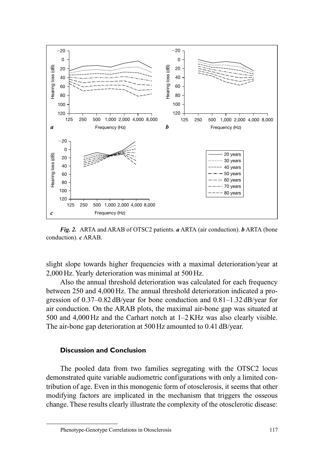

*Fig. 2.* ARTA and ARAB of OTSC2 patients. *a* ARTA (air conduction). *b* ARTA (bone conduction). *c* ARAB.

slight slope towards higher frequencies with a maximal deterioration/year at 2,000 Hz. Yearly deterioration was minimal at 500 Hz.

Also the annual threshold deterioration was calculated for each frequency between 250 and 4,000 Hz. The annual threshold deterioration indicated a progression of 0.37–0.82 dB/year for bone conduction and 0.81–1.32 dB/year for air conduction. On the ARAB plots, the maximal air-bone gap was situated at 500 and 4,000 Hz and the Carhart notch at 1–2 KHz was also clearly visible. The air-bone gap deterioration at 500 Hz amounted to 0.41 dB/year.

## **Discussion and Conclusion**

The pooled data from two families segregating with the OTSC2 locus demonstrated quite variable audiometric configurations with only a limited contribution of age. Even in this monogenic form of otosclerosis, it seems that other modifying factors are implicated in the mechanism that triggers the osseous change. These results clearly illustrate the complexity of the otosclerotic disease:

Phenotype-Genotype Correlations in Otosclerosis 117